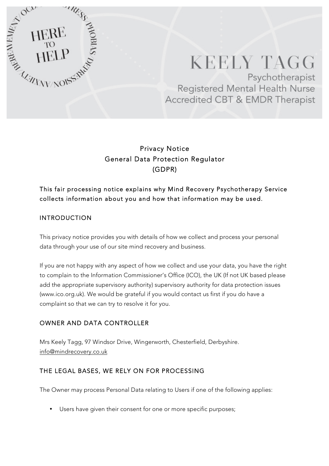

# **KEELY TAGG** Psychotherapist Registered Mental Health Nurse Accredited CBT & EMDR Therapist

# Privacy Notice General Data Protection Regulator (GDPR)

# This fair processing notice explains why Mind Recovery Psychotherapy Service collects information about you and how that information may be used.

## INTRODUCTION

This privacy notice provides you with details of how we collect and process your personal data through your use of our site mind recovery and business.

If you are not happy with any aspect of how we collect and use your data, you have the right to complain to the Information Commissioner's Office (ICO), the UK (If not UK based please add the appropriate supervisory authority) supervisory authority for data protection issues (www.ico.org.uk). We would be grateful if you would contact us first if you do have a complaint so that we can try to resolve it for you.

## OWNER AND DATA CONTROLLER

Mrs Keely Tagg, 97 Windsor Drive, Wingerworth, Chesterfield, Derbyshire. info@mindrecovery.co.uk

## THE LEGAL BASES, WE RELY ON FOR PROCESSING

The Owner may process Personal Data relating to Users if one of the following applies:

• Users have given their consent for one or more specific purposes;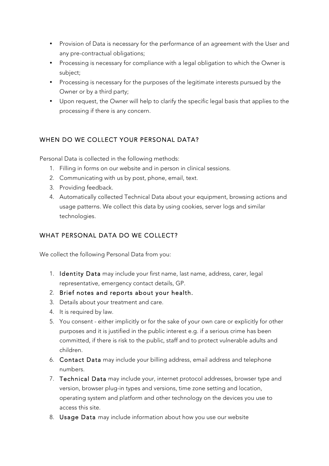- Provision of Data is necessary for the performance of an agreement with the User and any pre-contractual obligations;
- Processing is necessary for compliance with a legal obligation to which the Owner is subject;
- Processing is necessary for the purposes of the legitimate interests pursued by the Owner or by a third party;
- Upon request, the Owner will help to clarify the specific legal basis that applies to the processing if there is any concern.

## WHEN DO WE COLLECT YOUR PERSONAL DATA?

Personal Data is collected in the following methods:

- 1. Filling in forms on our website and in person in clinical sessions.
- 2. Communicating with us by post, phone, email, text.
- 3. Providing feedback.
- 4. Automatically collected Technical Data about your equipment, browsing actions and usage patterns. We collect this data by using cookies, server logs and similar technologies.

## WHAT PERSONAL DATA DO WE COLLECT?

We collect the following Personal Data from you:

- 1. Identity Data may include your first name, last name, address, carer, legal representative, emergency contact details, GP.
- 2. Brief notes and reports about your health.
- 3. Details about your treatment and care.
- 4. It is required by law.
- 5. You consent either implicitly or for the sake of your own care or explicitly for other purposes and it is justified in the public interest e.g. if a serious crime has been committed, if there is risk to the public, staff and to protect vulnerable adults and children.
- 6. Contact Data may include your billing address, email address and telephone numbers.
- 7. Technical Data may include your, internet protocol addresses, browser type and version, browser plug-in types and versions, time zone setting and location, operating system and platform and other technology on the devices you use to access this site.
- 8. Usage Data may include information about how you use our website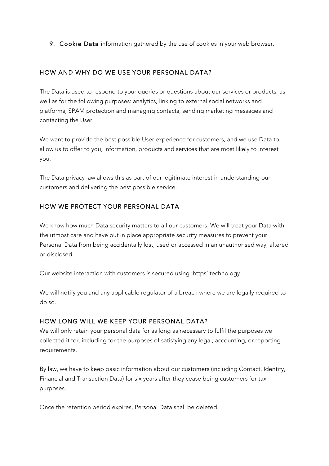9. Cookie Data information gathered by the use of cookies in your web browser.

#### HOW AND WHY DO WE USE YOUR PERSONAL DATA?

The Data is used to respond to your queries or questions about our services or products; as well as for the following purposes: analytics, linking to external social networks and platforms, SPAM protection and managing contacts, sending marketing messages and contacting the User.

We want to provide the best possible User experience for customers, and we use Data to allow us to offer to you, information, products and services that are most likely to interest you.

The Data privacy law allows this as part of our legitimate interest in understanding our customers and delivering the best possible service.

#### HOW WE PROTECT YOUR PERSONAL DATA

We know how much Data security matters to all our customers. We will treat your Data with the utmost care and have put in place appropriate security measures to prevent your Personal Data from being accidentally lost, used or accessed in an unauthorised way, altered or disclosed.

Our website interaction with customers is secured using 'https' technology.

We will notify you and any applicable regulator of a breach where we are legally required to do so.

#### HOW LONG WILL WE KEEP YOUR PERSONAL DATA?

We will only retain your personal data for as long as necessary to fulfil the purposes we collected it for, including for the purposes of satisfying any legal, accounting, or reporting requirements.

By law, we have to keep basic information about our customers (including Contact, Identity, Financial and Transaction Data) for six years after they cease being customers for tax purposes.

Once the retention period expires, Personal Data shall be deleted.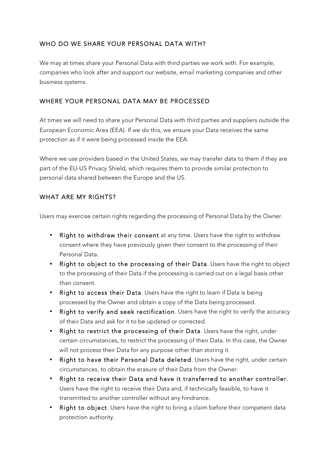## WHO DO WE SHARE YOUR PERSONAL DATA WITH?

We may at times share your Personal Data with third parties we work with. For example, companies who look after and support our website, email marketing companies and other business systems.

#### WHERE YOUR PERSONAL DATA MAY BE PROCESSED

At times we will need to share your Personal Data with third parties and suppliers outside the European Economic Area (EEA). If we do this, we ensure your Data receives the same protection as if it were being processed inside the EEA.

Where we use providers based in the United States, we may transfer data to them if they are part of the EU-US Privacy Shield, which requires them to provide similar protection to personal data shared between the Europe and the US.

#### WHAT ARE MY RIGHTS?

Users may exercise certain rights regarding the processing of Personal Data by the Owner.

- Right to withdraw their consent at any time. Users have the right to withdraw consent where they have previously given their consent to the processing of their Personal Data.
- Right to object to the processing of their Data. Users have the right to object to the processing of their Data if the processing is carried out on a legal basis other than consent.
- Right to access their Data. Users have the right to learn if Data is being processed by the Owner and obtain a copy of the Data being processed.
- Right to verify and seek rectification. Users have the right to verify the accuracy of their Data and ask for it to be updated or corrected.
- Right to restrict the processing of their Data. Users have the right, under certain circumstances, to restrict the processing of their Data. In this case, the Owner will not process their Data for any purpose other than storing it.
- Right to have their Personal Data deleted. Users have the right, under certain circumstances, to obtain the erasure of their Data from the Owner.
- Right to receive their Data and have it transferred to another controller. Users have the right to receive their Data and, if technically feasible, to have it transmitted to another controller without any hindrance.
- Right to object. Users have the right to bring a claim before their competent data protection authority.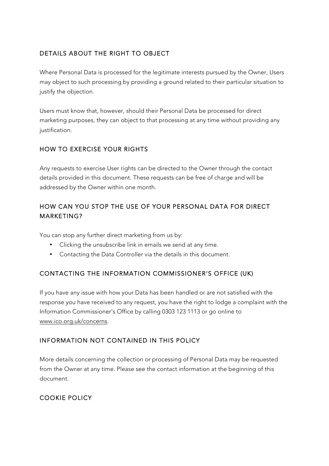## DETAILS ABOUT THE RIGHT TO OBJECT

Where Personal Data is processed for the legitimate interests pursued by the Owner, Users may object to such processing by providing a ground related to their particular situation to justify the objection.

Users must know that, however, should their Personal Data be processed for direct marketing purposes, they can object to that processing at any time without providing any justification.

# HOW TO EXERCISE YOUR RIGHTS

Any requests to exercise User rights can be directed to the Owner through the contact details provided in this document. These requests can be free of charge and will be addressed by the Owner within one month.

## HOW CAN YOU STOP THE USE OF YOUR PERSONAL DATA FOR DIRECT MARKETING?

You can stop any further direct marketing from us by:

- Clicking the unsubscribe link in emails we send at any time.
- Contacting the Data Controller via the details in this document.

## CONTACTING THE INFORMATION COMMISSIONER'S OFFICE (UK)

If you have any issue with how your Data has been handled or are not satisfied with the response you have received to any request, you have the right to lodge a complaint with the Information Commissioner's Office by calling 0303 123 1113 or go online to www.ico.org.uk/concerns.

## INFORMATION NOT CONTAINED IN THIS POLICY

More details concerning the collection or processing of Personal Data may be requested from the Owner at any time. Please see the contact information at the beginning of this document.

## COOKIE POLICY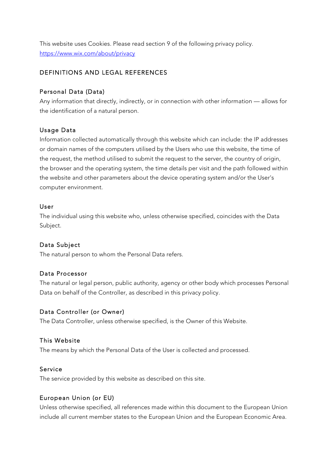This website uses Cookies. Please read section 9 of the following privacy policy. https://www.wix.com/about/privacy

#### DEFINITIONS AND LEGAL REFERENCES

### Personal Data (Data)

Any information that directly, indirectly, or in connection with other information — allows for the identification of a natural person.

## Usage Data

Information collected automatically through this website which can include: the IP addresses or domain names of the computers utilised by the Users who use this website, the time of the request, the method utilised to submit the request to the server, the country of origin, the browser and the operating system, the time details per visit and the path followed within the website and other parameters about the device operating system and/or the User's computer environment.

#### User

The individual using this website who, unless otherwise specified, coincides with the Data Subject.

## Data Subject

The natural person to whom the Personal Data refers.

#### Data Processor

The natural or legal person, public authority, agency or other body which processes Personal Data on behalf of the Controller, as described in this privacy policy.

#### Data Controller (or Owner)

The Data Controller, unless otherwise specified, is the Owner of this Website.

#### This Website

The means by which the Personal Data of the User is collected and processed.

#### Service

The service provided by this website as described on this site.

#### European Union (or EU)

Unless otherwise specified, all references made within this document to the European Union include all current member states to the European Union and the European Economic Area.